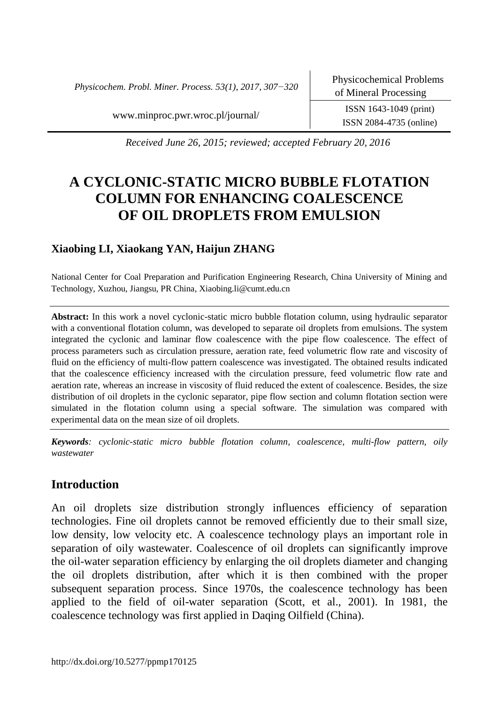*Physicochem. Probl. Miner. Process. 53(1), 2017, 307−320*

ISSN 2084-4735 (online)

www.minproc.pwr.wroc.pl/journal/ ISSN 1643-1049 (print)

*Received June 26, 2015; reviewed; accepted February 20, 2016*

# **A CYCLONIC-STATIC MICRO BUBBLE FLOTATION COLUMN FOR ENHANCING COALESCENCE OF OIL DROPLETS FROM EMULSION**

## **Xiaobing LI, Xiaokang YAN, Haijun ZHANG**

National Center for Coal Preparation and Purification Engineering Research, China University of Mining and Technology, Xuzhou, Jiangsu, PR China, Xiaobing.li@cumt.edu.cn

**Abstract:** In this work a novel cyclonic-static micro bubble flotation column, using hydraulic separator with a conventional flotation column, was developed to separate oil droplets from emulsions. The system integrated the cyclonic and laminar flow coalescence with the pipe flow coalescence. The effect of process parameters such as circulation pressure, aeration rate, feed volumetric flow rate and viscosity of fluid on the efficiency of multi-flow pattern coalescence was investigated. The obtained results indicated that the coalescence efficiency increased with the circulation pressure, feed volumetric flow rate and aeration rate, whereas an increase in viscosity of fluid reduced the extent of coalescence. Besides, the size distribution of oil droplets in the cyclonic separator, pipe flow section and column flotation section were simulated in the flotation column using a special software. The simulation was compared with experimental data on the mean size of oil droplets.

*Keywords: cyclonic-static micro bubble flotation column, coalescence, multi-flow pattern, oily wastewater*

## **Introduction**

An oil droplets size distribution strongly influences efficiency of separation technologies. Fine oil droplets cannot be removed efficiently due to their small size, low density, low velocity etc. A coalescence technology plays an important role in separation of oily wastewater. Coalescence of oil droplets can significantly improve the oil-water separation efficiency by enlarging the oil droplets diameter and changing the oil droplets distribution, after which it is then combined with the proper subsequent separation process. Since 1970s, the coalescence technology has been applied to the field of oil-water separation (Scott, et al., 2001). In 1981, the coalescence technology was first applied in Daqing Oilfield (China).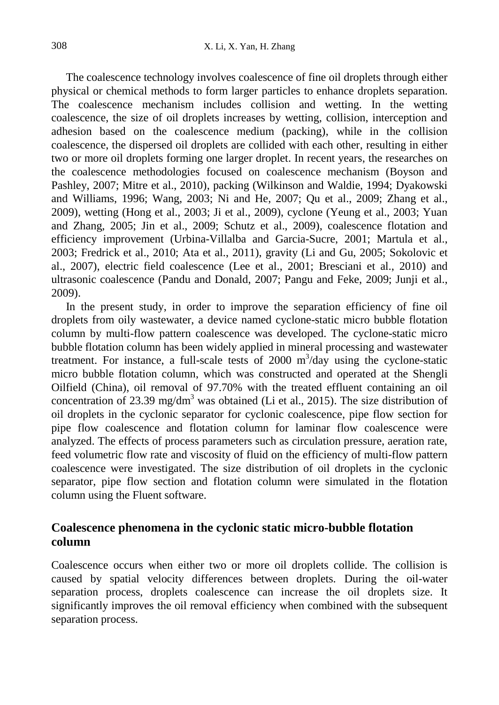The coalescence technology involves coalescence of fine oil droplets through either physical or chemical methods to form larger particles to enhance droplets separation. The coalescence mechanism includes collision and wetting. In the wetting coalescence, the size of oil droplets increases by wetting, collision, interception and adhesion based on the coalescence medium (packing), while in the collision coalescence, the dispersed oil droplets are collided with each other, resulting in either two or more oil droplets forming one larger droplet. In recent years, the researches on the coalescence methodologies focused on coalescence mechanism (Boyson and Pashley, 2007; Mitre et al., 2010), packing (Wilkinson and Waldie, 1994; Dyakowski and Williams, 1996; Wang, 2003; Ni and He, 2007; Qu et al., 2009; Zhang et al., 2009), wetting (Hong et al., 2003; Ji et al., 2009), cyclone (Yeung et al., 2003; Yuan and Zhang, 2005; Jin et al., 2009; Schutz et al., 2009), coalescence flotation and efficiency improvement (Urbina-Villalba and Garcia-Sucre, 2001; Martula et al., 2003; Fredrick et al., 2010; Ata et al., 2011), gravity (Li and Gu, 2005; Sokolovic et al., 2007), electric field coalescence (Lee et al., 2001; Bresciani et al., 2010) and ultrasonic coalescence (Pandu and Donald, 2007; Pangu and Feke, 2009; Junji et al., 2009).

In the present study, in order to improve the separation efficiency of fine oil droplets from oily wastewater, a device named cyclone-static micro bubble flotation column by multi-flow pattern coalescence was developed. The cyclone-static micro bubble flotation column has been widely applied in mineral processing and wastewater treatment. For instance, a full-scale tests of  $2000 \text{ m}^3/\text{day}$  using the cyclone-static micro bubble flotation column, which was constructed and operated at the Shengli Oilfield (China), oil removal of 97.70% with the treated effluent containing an oil concentration of  $23.39 \text{ mg/dm}^3$  was obtained (Li et al., 2015). The size distribution of oil droplets in the cyclonic separator for cyclonic coalescence, pipe flow section for pipe flow coalescence and flotation column for laminar flow coalescence were analyzed. The effects of process parameters such as circulation pressure, aeration rate, feed volumetric flow rate and viscosity of fluid on the efficiency of multi-flow pattern coalescence were investigated. The size distribution of oil droplets in the cyclonic separator, pipe flow section and flotation column were simulated in the flotation column using the Fluent software.

## **Coalescence phenomena in the cyclonic static micro-bubble flotation column**

Coalescence occurs when either two or more oil droplets collide. The collision is caused by spatial velocity differences between droplets. During the oil-water separation process, droplets coalescence can increase the oil droplets size. It significantly improves the oil removal efficiency when combined with the subsequent separation process.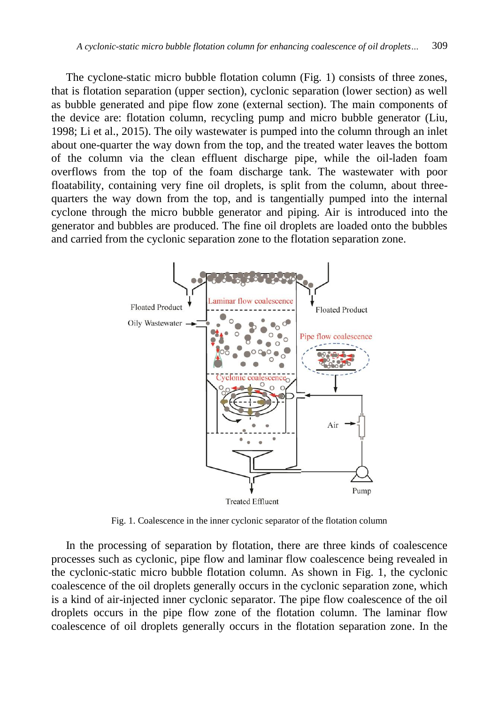The cyclone-static micro bubble flotation column (Fig. 1) consists of three zones, that is flotation separation (upper section), cyclonic separation (lower section) as well as bubble generated and pipe flow zone (external section). The main components of the device are: flotation column, recycling pump and micro bubble generator (Liu, 1998; Li et al., 2015). The oily wastewater is pumped into the column through an inlet about one-quarter the way down from the top, and the treated water leaves the bottom of the column via the clean effluent discharge pipe, while the oil-laden foam overflows from the top of the foam discharge tank. The wastewater with poor floatability, containing very fine oil droplets, is split from the column, about threequarters the way down from the top, and is tangentially pumped into the internal cyclone through the micro bubble generator and piping. Air is introduced into the generator and bubbles are produced. The fine oil droplets are loaded onto the bubbles and carried from the cyclonic separation zone to the flotation separation zone.



Fig. 1. Coalescence in the inner cyclonic separator of the flotation column

In the processing of separation by flotation, there are three kinds of coalescence processes such as cyclonic, pipe flow and laminar flow coalescence being revealed in the cyclonic-static micro bubble flotation column. As shown in Fig. 1, the cyclonic coalescence of the oil droplets generally occurs in the cyclonic separation zone, which is a kind of air-injected inner cyclonic separator. The pipe flow coalescence of the oil droplets occurs in the pipe flow zone of the flotation column. The laminar flow coalescence of oil droplets generally occurs in the flotation separation zone. In the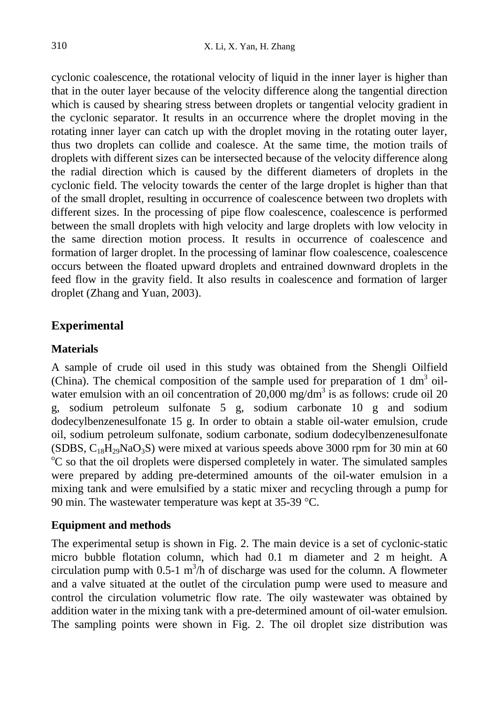cyclonic coalescence, the rotational velocity of liquid in the inner layer is higher than that in the outer layer because of the velocity difference along the tangential direction which is caused by shearing stress between droplets or tangential velocity gradient in the cyclonic separator. It results in an occurrence where the droplet moving in the rotating inner layer can catch up with the droplet moving in the rotating outer layer, thus two droplets can collide and coalesce. At the same time, the motion trails of droplets with different sizes can be intersected because of the velocity difference along the radial direction which is caused by the different diameters of droplets in the cyclonic field. The velocity towards the center of the large droplet is higher than that of the small droplet, resulting in occurrence of coalescence between two droplets with different sizes. In the processing of pipe flow coalescence, coalescence is performed between the small droplets with high velocity and large droplets with low velocity in the same direction motion process. It results in occurrence of coalescence and formation of larger droplet. In the processing of laminar flow coalescence, coalescence occurs between the floated upward droplets and entrained downward droplets in the feed flow in the gravity field. It also results in coalescence and formation of larger droplet (Zhang and Yuan, 2003).

## **Experimental**

### **Materials**

A sample of crude oil used in this study was obtained from the Shengli Oilfield (China). The chemical composition of the sample used for preparation of  $1 \text{ dm}^3$  oilwater emulsion with an oil concentration of  $20,000$  mg/dm<sup>3</sup> is as follows: crude oil 20 g, sodium petroleum sulfonate 5 g, sodium carbonate 10 g and sodium dodecylbenzenesulfonate 15 g. In order to obtain a stable oil-water emulsion, crude oil, sodium petroleum sulfonate, sodium carbonate, sodium dodecylbenzenesulfonate (SDBS,  $C_{18}H_{29}NaO_3S$ ) were mixed at various speeds above 3000 rpm for 30 min at 60 <sup>o</sup>C so that the oil droplets were dispersed completely in water. The simulated samples were prepared by adding pre-determined amounts of the oil-water emulsion in a mixing tank and were emulsified by a static mixer and recycling through a pump for 90 min. The wastewater temperature was kept at 35-39 °C.

#### **Equipment and methods**

The experimental setup is shown in Fig. 2. The main device is a set of cyclonic-static micro bubble flotation column, which had 0.1 m diameter and 2 m height. A circulation pump with  $0.5$ -1 m<sup>3</sup>/h of discharge was used for the column. A flowmeter and a valve situated at the outlet of the circulation pump were used to measure and control the circulation volumetric flow rate. The oily wastewater was obtained by addition water in the mixing tank with a pre-determined amount of oil-water emulsion. The sampling points were shown in Fig. 2. The oil droplet size distribution was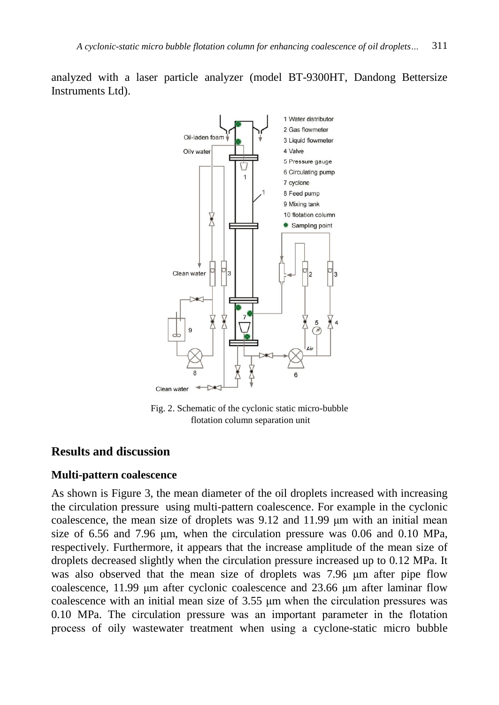analyzed with a laser particle analyzer (model BT-9300HT, Dandong Bettersize Instruments Ltd).



Fig. 2. Schematic of the cyclonic static micro-bubble flotation column separation unit

## **Results and discussion**

## **Multi-pattern coalescence**

As shown is Figure 3, the mean diameter of the oil droplets increased with increasing the circulation pressure using multi-pattern coalescence. For example in the cyclonic coalescence, the mean size of droplets was  $9.12$  and  $11.99 \mu m$  with an initial mean size of 6.56 and 7.96 μm, when the circulation pressure was 0.06 and 0.10 MPa, respectively. Furthermore, it appears that the increase amplitude of the mean size of droplets decreased slightly when the circulation pressure increased up to 0.12 MPa. It was also observed that the mean size of droplets was 7.96 μm after pipe flow coalescence, 11.99 μm after cyclonic coalescence and 23.66 μm after laminar flow coalescence with an initial mean size of 3.55 μm when the circulation pressures was 0.10 MPa. The circulation pressure was an important parameter in the flotation process of oily wastewater treatment when using a cyclone-static micro bubble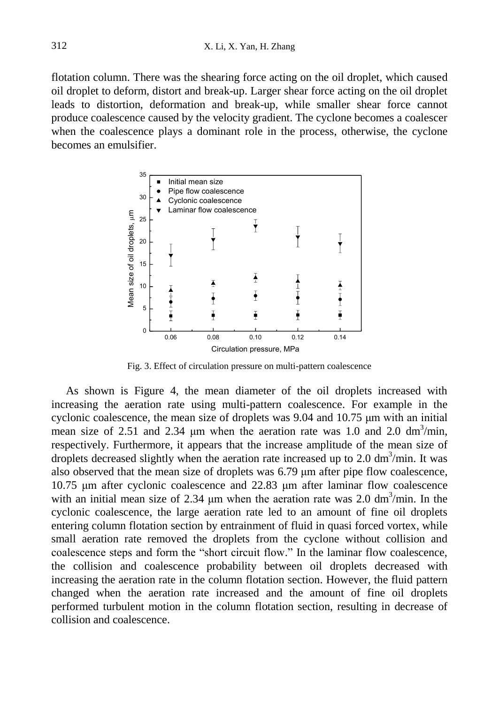flotation column. There was the shearing force acting on the oil droplet, which caused oil droplet to deform, distort and break-up. Larger shear force acting on the oil droplet leads to distortion, deformation and break-up, while smaller shear force cannot produce coalescence caused by the velocity gradient. The cyclone becomes a coalescer when the coalescence plays a dominant role in the process, otherwise, the cyclone becomes an emulsifier.



Fig. 3. Effect of circulation pressure on multi-pattern coalescence

As shown is Figure 4, the mean diameter of the oil droplets increased with increasing the aeration rate using multi-pattern coalescence. For example in the cyclonic coalescence, the mean size of droplets was 9.04 and 10.75 μm with an initial mean size of 2.51 and 2.34  $\mu$ m when the aeration rate was 1.0 and 2.0 dm<sup>3</sup>/min, respectively. Furthermore, it appears that the increase amplitude of the mean size of droplets decreased slightly when the aeration rate increased up to  $2.0 \text{ dm}^3/\text{min}$ . It was also observed that the mean size of droplets was 6.79 μm after pipe flow coalescence, 10.75 μm after cyclonic coalescence and 22.83 μm after laminar flow coalescence with an initial mean size of 2.34  $\mu$ m when the aeration rate was 2.0 dm<sup>3</sup>/min. In the cyclonic coalescence, the large aeration rate led to an amount of fine oil droplets entering column flotation section by entrainment of fluid in quasi forced vortex, while small aeration rate removed the droplets from the cyclone without collision and coalescence steps and form the "short circuit flow." In the laminar flow coalescence, the collision and coalescence probability between oil droplets decreased with increasing the aeration rate in the column flotation section. However, the fluid pattern changed when the aeration rate increased and the amount of fine oil droplets performed turbulent motion in the column flotation section, resulting in decrease of collision and coalescence.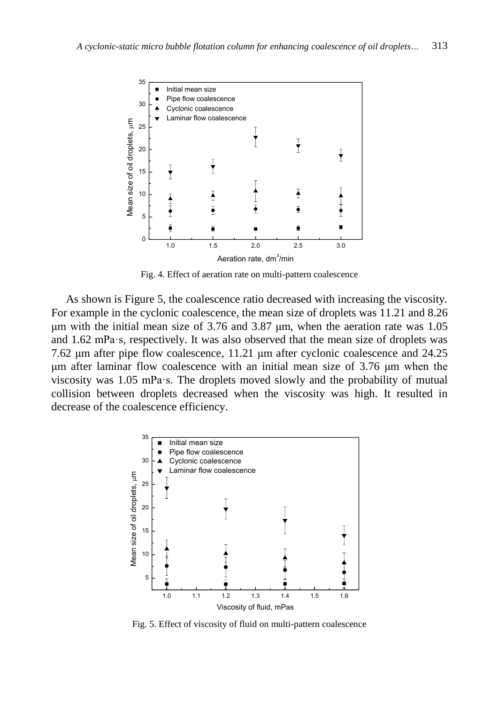

Fig. 4. Effect of aeration rate on multi-pattern coalescence

As shown is Figure 5, the coalescence ratio decreased with increasing the viscosity. For example in the cyclonic coalescence, the mean size of droplets was 11.21 and 8.26 μm with the initial mean size of 3.76 and 3.87 μm, when the aeration rate was 1.05 and 1.62 mPa·s, respectively. It was also observed that the mean size of droplets was 7.62 μm after pipe flow coalescence, 11.21 μm after cyclonic coalescence and 24.25 μm after laminar flow coalescence with an initial mean size of 3.76 μm when the viscosity was 1.05 mPa·s. The droplets moved slowly and the probability of mutual collision between droplets decreased when the viscosity was high. It resulted in decrease of the coalescence efficiency.



Fig. 5. Effect of viscosity of fluid on multi-pattern coalescence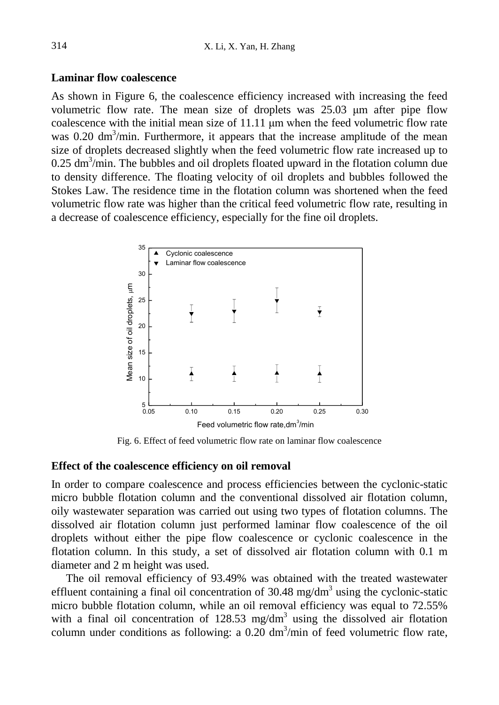#### **Laminar flow coalescence**

As shown in Figure 6, the coalescence efficiency increased with increasing the feed volumetric flow rate. The mean size of droplets was 25.03 μm after pipe flow coalescence with the initial mean size of 11.11 μm when the feed volumetric flow rate was  $0.20 \text{ dm}^3/\text{min}$ . Furthermore, it appears that the increase amplitude of the mean size of droplets decreased slightly when the feed volumetric flow rate increased up to  $0.25$  dm<sup>3</sup>/min. The bubbles and oil droplets floated upward in the flotation column due to density difference. The floating velocity of oil droplets and bubbles followed the Stokes Law. The residence time in the flotation column was shortened when the feed volumetric flow rate was higher than the critical feed volumetric flow rate, resulting in a decrease of coalescence efficiency, especially for the fine oil droplets.



Fig. 6. Effect of feed volumetric flow rate on laminar flow coalescence

#### **Effect of the coalescence efficiency on oil removal**

In order to compare coalescence and process efficiencies between the cyclonic-static micro bubble flotation column and the conventional dissolved air flotation column, oily wastewater separation was carried out using two types of flotation columns. The dissolved air flotation column just performed laminar flow coalescence of the oil droplets without either the pipe flow coalescence or cyclonic coalescence in the flotation column. In this study, a set of dissolved air flotation column with 0.1 m diameter and 2 m height was used.

The oil removal efficiency of 93.49% was obtained with the treated wastewater effluent containing a final oil concentration of  $30.48 \text{ mg/dm}^3$  using the cyclonic-static micro bubble flotation column, while an oil removal efficiency was equal to 72.55% with a final oil concentration of  $128.53$  mg/dm<sup>3</sup> using the dissolved air flotation column under conditions as following: a  $0.20 \text{ dm}^3/\text{min}$  of feed volumetric flow rate,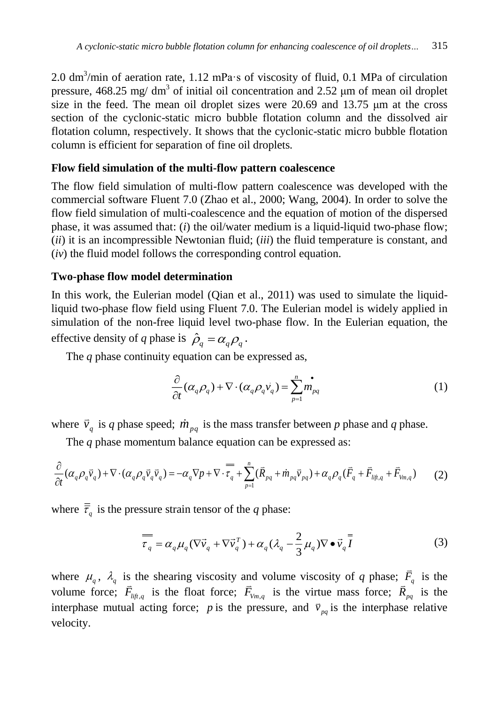2.0  $\text{dm}^3/\text{min}$  of aeration rate, 1.12 mPa·s of viscosity of fluid, 0.1 MPa of circulation pressure,  $468.25$  mg/dm<sup>3</sup> of initial oil concentration and  $2.52$  µm of mean oil droplet size in the feed. The mean oil droplet sizes were 20.69 and 13.75 um at the cross section of the cyclonic-static micro bubble flotation column and the dissolved air flotation column, respectively. It shows that the cyclonic-static micro bubble flotation column is efficient for separation of fine oil droplets.

### **Flow field simulation of the multi-flow pattern coalescence**

The flow field simulation of multi-flow pattern coalescence was developed with the commercial software Fluent 7.0 (Zhao et al., 2000; Wang, 2004). In order to solve the flow field simulation of multi-coalescence and the equation of motion of the dispersed phase, it was assumed that: (*i*) the oil/water medium is a liquid-liquid two-phase flow; (*ii*) it is an incompressible Newtonian fluid; (*iii*) the fluid temperature is constant, and (*iv*) the fluid model follows the corresponding control equation.

### **Two-phase flow model determination**

In this work, the Eulerian model (Qian et al., 2011) was used to simulate the liquidliquid two-phase flow field using Fluent 7.0. The Eulerian model is widely applied in simulation of the non-free liquid level two-phase flow. In the Eulerian equation, the effective density of q phase is  $\hat{\rho}_q = \alpha_q \rho_q$ .

The *q* phase continuity equation can be expressed as,

$$
\frac{\partial}{\partial t}(\alpha_q \rho_q) + \nabla \cdot (\alpha_q \rho_q \vec{v}_q) = \sum_{p=1}^n \vec{m}_{pq} \tag{1}
$$

where  $\vec{v}_q$  is *q* phase speed;  $\dot{m}_{pq}$  is the mass transfer between *p* phase and *q* phase.

The *q* phase momentum balance equation can be expressed as:

$$
\frac{\partial}{\partial t}(\alpha_q \rho_q \vec{v}_q) + \nabla \cdot (\alpha_q \rho_q \vec{v}_q \vec{v}_q) = -\alpha_q \nabla p + \nabla \cdot \overline{\tau}_q + \sum_{p=1}^n (\vec{R}_{pq} + \dot{m}_{pq} \vec{v}_{pq}) + \alpha_q \rho_q (\vec{F}_q + \vec{F}_{\text{lift},q} + \vec{F}_{\text{Vm},q})
$$
(2)

where  $\overline{\tau}_q$  is the pressure strain tensor of the *q* phase:

$$
\overline{\overline{\tau}_q} = \alpha_q \mu_q (\nabla \vec{v}_q + \nabla \vec{v}_q^T) + \alpha_q (\lambda_q - \frac{2}{3} \mu_q) \nabla \bullet \vec{v}_q \overline{\overline{I}}
$$
(3)

where  $\mu_q$ ,  $\lambda_q$  is the shearing viscosity and volume viscosity of *q* phase;  $\overline{F}_q$  is the volume force;  $\bar{F}_{\mu_{\hat{p}_q}}$  is the float force;  $\bar{F}_{v_{m,q}}$  is the virtue mass force;  $\bar{R}_{pq}$  is the interphase mutual acting force; *p* is the pressure, and  $\vec{v}_{pq}$  is the interphase relative velocity.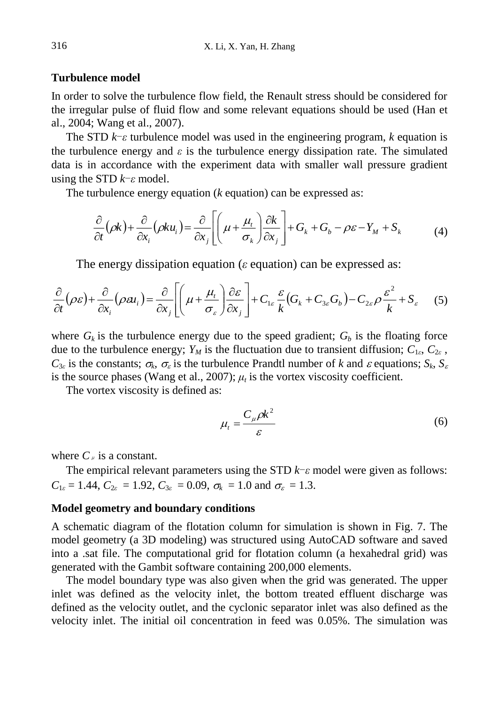### **Turbulence model**

In order to solve the turbulence flow field, the Renault stress should be considered for the irregular pulse of fluid flow and some relevant equations should be used (Han et al., 2004; Wang et al., 2007).

The STD  $k$ - $\varepsilon$  turbulence model was used in the engineering program, k equation is the turbulence energy and  $\varepsilon$  is the turbulence energy dissipation rate. The simulated data is in accordance with the experiment data with smaller wall pressure gradient using the STD *k*-*ε* model.

The turbulence energy equation (*k* equation) can be expressed as:

$$
\frac{\partial}{\partial t}(\rho k) + \frac{\partial}{\partial x_i}(\rho k u_i) = \frac{\partial}{\partial x_j} \left[ \left( \mu + \frac{\mu_i}{\sigma_k} \right) \frac{\partial k}{\partial x_j} \right] + G_k + G_b - \rho \varepsilon - Y_M + S_k \tag{4}
$$

The energy dissipation equation (*ε* equation) can be expressed as:

$$
\frac{\partial}{\partial t}(\rho \varepsilon) + \frac{\partial}{\partial x_i}(\rho \varepsilon u_i) = \frac{\partial}{\partial x_j} \left[ \left( \mu + \frac{\mu_i}{\sigma_{\varepsilon}} \right) \frac{\partial \varepsilon}{\partial x_j} \right] + C_{1\varepsilon} \frac{\varepsilon}{k} \left( G_k + C_{3\varepsilon} G_b \right) - C_{2\varepsilon} \rho \frac{\varepsilon^2}{k} + S_{\varepsilon} \tag{5}
$$

where  $G_k$  is the turbulence energy due to the speed gradient;  $G_b$  is the floating force due to the turbulence energy;  $Y_M$  is the fluctuation due to transient diffusion;  $C_{1\epsilon}$ ,  $C_{2\epsilon}$ ,  $C_{3\varepsilon}$  is the constants;  $\sigma_k$ ,  $\sigma_{\varepsilon}$  is the turbulence Prandtl number of *k* and  $\varepsilon$  equations;  $S_k$ ,  $S_{\varepsilon}$ is the source phases (Wang et al., 2007);  $\mu_t$  is the vortex viscosity coefficient.

The vortex viscosity is defined as:

$$
\mu_t = \frac{C_\mu \rho k^2}{\varepsilon} \tag{6}
$$

where  $C_{\mu}$  is a constant.

The empirical relevant parameters using the STD  $k$ - $\varepsilon$  model were given as follows:  $C_{1\epsilon} = 1.44$ ,  $C_{2\epsilon} = 1.92$ ,  $C_{3\epsilon} = 0.09$ ,  $\sigma_k = 1.0$  and  $\sigma_{\epsilon} = 1.3$ .

#### **Model geometry and boundary conditions**

A schematic diagram of the flotation column for simulation is shown in Fig. 7. The model geometry (a 3D modeling) was structured using AutoCAD software and saved into a .sat file. The computational grid for flotation column (a hexahedral grid) was generated with the Gambit software containing 200,000 elements.

The model boundary type was also given when the grid was generated. The upper inlet was defined as the velocity inlet, the bottom treated effluent discharge was defined as the velocity outlet, and the cyclonic separator inlet was also defined as the velocity inlet. The initial oil concentration in feed was 0.05%. The simulation was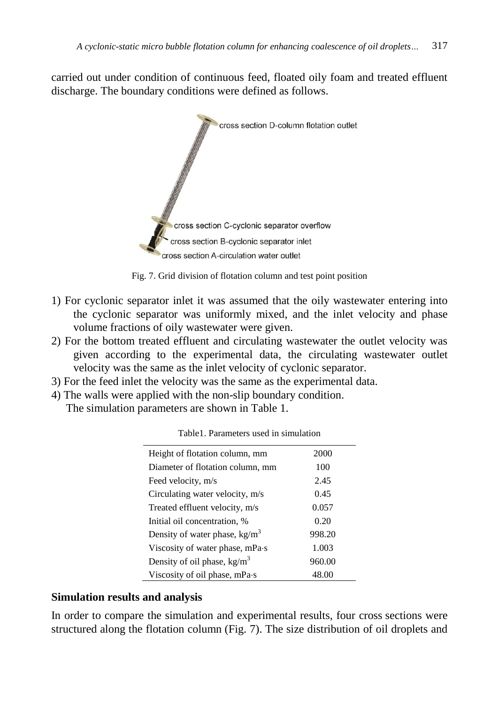carried out under condition of continuous feed, floated oily foam and treated effluent discharge. The boundary conditions were defined as follows.





- 1) For cyclonic separator inlet it was assumed that the oily wastewater entering into the cyclonic separator was uniformly mixed, and the inlet velocity and phase volume fractions of oily wastewater were given.
- 2) For the bottom treated effluent and circulating wastewater the outlet velocity was given according to the experimental data, the circulating wastewater outlet velocity was the same as the inlet velocity of cyclonic separator.
- 3) For the feed inlet the velocity was the same as the experimental data.
- 4) The walls were applied with the non-slip boundary condition.
	- The simulation parameters are shown in Table 1.

| Height of flotation column, mm   | 2000   |
|----------------------------------|--------|
| Diameter of flotation column, mm | 100    |
| Feed velocity, m/s               | 2.45   |
| Circulating water velocity, m/s  | 0.45   |
| Treated effluent velocity, m/s   | 0.057  |
| Initial oil concentration, %     | 0.20   |
| Density of water phase, $kg/m3$  | 998.20 |
| Viscosity of water phase, mPa.s  | 1.003  |
| Density of oil phase, $kg/m3$    | 960.00 |
| Viscosity of oil phase, mPa.s    | 48.00  |

| Table1. Parameters used in simulation |  |  |  |
|---------------------------------------|--|--|--|
|---------------------------------------|--|--|--|

### **Simulation results and analysis**

In order to compare the simulation and experimental results, four cross sections were structured along the flotation column (Fig. 7). The size distribution of oil droplets and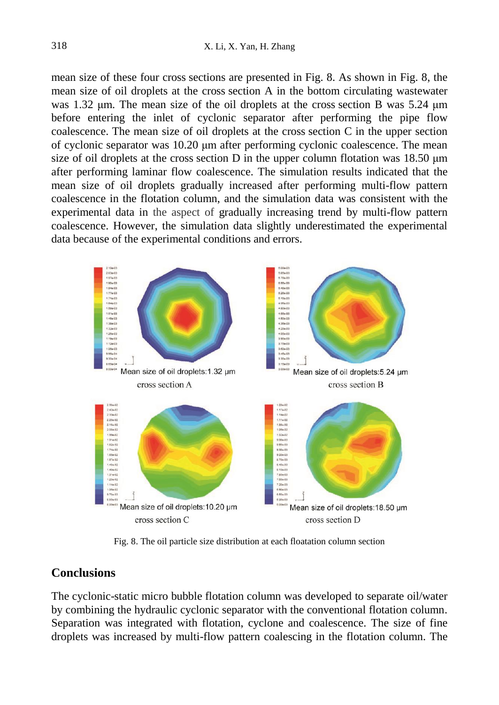mean size of these four cross sections are presented in Fig. 8. As shown in Fig. 8, the mean size of oil droplets at the cross section A in the bottom circulating wastewater was 1.32 μm. The mean size of the oil droplets at the cross section B was 5.24 μm before entering the inlet of cyclonic separator after performing the pipe flow coalescence. The mean size of oil droplets at the cross section C in the upper section of cyclonic separator was 10.20 μm after performing cyclonic coalescence. The mean size of oil droplets at the cross section D in the upper column flotation was  $18.50 \mu m$ after performing laminar flow coalescence. The simulation results indicated that the mean size of oil droplets gradually increased after performing multi-flow pattern coalescence in the flotation column, and the simulation data was consistent with the experimental data in the aspect of gradually increasing trend by multi-flow pattern coalescence. However, the simulation data slightly underestimated the experimental data because of the experimental conditions and errors.



Fig. 8. The oil particle size distribution at each floatation column section

## **Conclusions**

The cyclonic-static micro bubble flotation column was developed to separate oil/water by combining the hydraulic cyclonic separator with the conventional flotation column. Separation was integrated with flotation, cyclone and coalescence. The size of fine droplets was increased by multi-flow pattern coalescing in the flotation column. The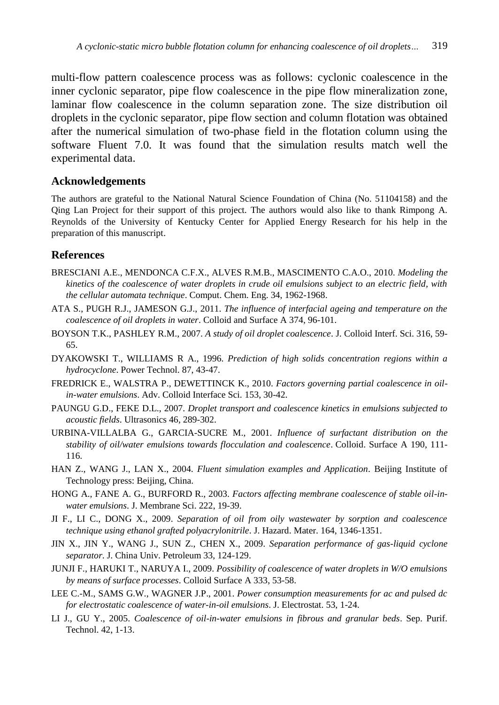multi-flow pattern coalescence process was as follows: cyclonic coalescence in the inner cyclonic separator, pipe flow coalescence in the pipe flow mineralization zone, laminar flow coalescence in the column separation zone. The size distribution oil droplets in the cyclonic separator, pipe flow section and column flotation was obtained after the numerical simulation of two-phase field in the flotation column using the software Fluent 7.0. It was found that the simulation results match well the experimental data.

#### **Acknowledgements**

The authors are grateful to the National Natural Science Foundation of China (No. 51104158) and the Qing Lan Project for their support of this project. The authors would also like to thank Rimpong A. Reynolds of the University of Kentucky Center for Applied Energy Research for his help in the preparation of this manuscript.

### **References**

- BRESCIANI A.E., MENDONCA C.F.X., ALVES R.M.B., MASCIMENTO C.A.O., 2010. *Modeling the kinetics of the coalescence of water droplets in crude oil emulsions subject to an electric field, with the cellular automata technique*. Comput. Chem. Eng. 34, 1962-1968.
- ATA S., PUGH R.J., JAMESON G.J., 2011. *The influence of interfacial ageing and temperature on the coalescence of oil droplets in water*. Colloid and Surface A 374, 96-101.
- BOYSON T.K., PASHLEY R.M., 2007. *A study of oil droplet coalescence*. J. Colloid Interf. Sci. 316, 59- 65.
- DYAKOWSKI T., WILLIAMS R A., 1996. *Prediction of high solids concentration regions within a hydrocyclone*. Power Technol. 87, 43-47.
- FREDRICK E., WALSTRA P., DEWETTINCK K., 2010. *Factors governing partial coalescence in oilin-water emulsions*. Adv. Colloid Interface Sci. 153, 30-42.
- PAUNGU G.D., FEKE D.L., 2007. *Droplet transport and coalescence kinetics in emulsions subjected to acoustic fields*. Ultrasonics 46, 289-302.
- URBINA-VILLALBA G., GARCIA-SUCRE M., 2001. *Influence of surfactant distribution on the stability of oil/water emulsions towards flocculation and coalescence*. Colloid. Surface A 190, 111- 116.
- HAN Z., WANG J., LAN X., 2004. *Fluent simulation examples and Application*. Beijing Institute of Technology press: Beijing, China.
- HONG A., FANE A. G., BURFORD R., 2003. *Factors affecting membrane coalescence of stable oil-inwater emulsions*. J. Membrane Sci. 222, 19-39.
- JI F., LI C., DONG X., 2009. *Separation of oil from oily wastewater by sorption and coalescence technique using ethanol grafted polyacrylonitrile*. J. Hazard. Mater. 164, 1346-1351.
- JIN X., JIN Y., WANG J., SUN Z., CHEN X., 2009. *Separation performance of gas-liquid cyclone separator*. J. China Univ. Petroleum 33, 124-129.
- JUNJI F., HARUKI T., NARUYA I., 2009. *Possibility of coalescence of water droplets in W/O emulsions by means of surface processes*. Colloid Surface A 333, 53-58.
- LEE C.-M., SAMS G.W., WAGNER J.P., 2001. *Power consumption measurements for ac and pulsed dc for electrostatic coalescence of water-in-oil emulsions*. J. Electrostat. 53, 1-24.
- LI J., GU Y., 2005. *Coalescence of oil-in-water emulsions in fibrous and granular beds*. Sep. Purif. Technol. 42, 1-13.